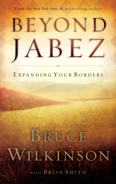From the New York Times #1 bestselling author



## EXPANDING YOUR BORDERS

# BRUCE WILKINSON

WITH BRIAN SMITH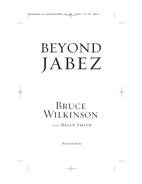# BEYOND JABEZ

# **BRUCE** Wilkinson

### WITH BRIAN SMITH

Multnomah Books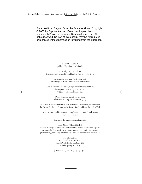Excerpted from Beyond Jabez by Bruce Wilkinson Copyright © 2005 by Exponential, Inc. Excerpted by permission of Multnomah Books, a division of Random House, Inc. All rights reserved. No part of this excerpt may be reproduced or reprinted without permission in writing from the publisher.

#### BEYOND JABEZ published by Multnomah Books

© 2005 by Exponential, Inc. International Standard Book Number: 978-1-59052-367-4

Cover design by Brand Navigation, LLC Cover image by Steve Gardner/PixelWorks Studio

Unless otherwise indicated, Scripture quotations are from: *The Holy Bible,* New King James Version © 1984 by Thomas Nelson, Inc.

> Other Scripture quotations are from: *The Holy Bible,* King James Version (KJV)

Published in the United States by WaterBrook Multnomah, an imprint of the Crown Publishing Group, a division of Random House Inc., New York.

MULTNOMAH and its mountain colophon are registered trademarks of Random House Inc.

Printed in the United States of America

#### ALL RIGHTS RESERVED

No part of this publication may be reproduced, stored in a retrieval system, or transmitted, in any form or by any means—electronic, mechanical, photocopying, recording, or otherwise—without prior written permission.

> For information: MULTNOMAH BOOKS 12265 Oracle Boulevard, Suite 200 Colorado Springs, CO 80921

05 06 07 08 09 10—10 9 8 7 6 5 4 3 2 1 0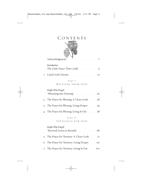# CONTENTS



| Introduction |  |
|--------------|--|

1. Catch God's Dream! . . . . . . . . . . . . . . . . . . . . . . 15

#### Part I

Blessing from God

| People Who Prayed |  |
|-------------------|--|
|                   |  |

- 2. The Prayer for Blessing: A Closer Look . . . . . . 28
- 3. The Prayer for Blessing: Going Deeper . . . . . . . 45
- 4. The Prayer for Blessing: Living It Out . . . . . . . 58

#### Part II

#### Influence for God

# *People Who Prayed* "Renewal Scores in Rwanda" . . . . . . . . . . . . . . . 68 5. The Prayer for Territory: A Closer Look . . . . . . 71 6. The Prayer for Territory: Going Deeper . . . . . 90 7. The Prayer for Territory: Living It Out . . . . . . 101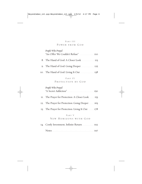#### Part III

#### Power from God

| People Who Prayed<br>"An Offer We Couldn't Refuse"  110       |
|---------------------------------------------------------------|
| 8. The Hand of God: A Closer Look 113                         |
| 9. The Hand of God: Going Deeper 125                          |
| 10. The Hand of God: Living It Out $\ldots \ldots \ldots$ 138 |
|                                                               |

#### Part IV PROTECTION BY GOD

|                                 | People Who Prayed                                |  |
|---------------------------------|--------------------------------------------------|--|
|                                 | II. The Prayer for Protection: A Closer Look 153 |  |
|                                 | 12. The Prayer for Protection: Going Deeper 163  |  |
|                                 | 13. The Prayer for Protection: Living It Out 178 |  |
| PART V<br>NEW HORIZONS WITH GOD |                                                  |  |
|                                 | 14. Costly Investment, Infinite Return 192       |  |

Notes . . . . . . . . . . . . . . . . . . . . . . . . . . . . . . . . . 197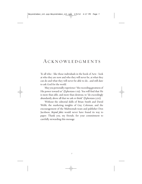### Acknowledgments

To all who—like those individuals in the book of Acts—look at who they are now and who they will never be, at what they can do and what they will never be able to do...and still dare to ask God for the world.

May you personally experience "the exceeding greatness of His power toward us" (Ephesians 1:19). You will find that He is more than able, and more than desirous, to "do exceedingly abundantly above all that we ask or think" (Ephesians 3:20).

Without the editorial skills of Brian Smith and David Webb, the marketing insights of Guy Coleman, and the encouragement of the Multnomah team and publisher Don Jacobson, *Beyond Jabez* would never have found its way to paper. Thank you, my friends, for your commitment to carefully stewarding this message.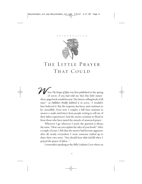

# The Little Prayer THAT COULD

hen *The Prayer of Jabez* was first published in the spring of 2000, if you had told me that this little ninetythree-page book would become "the fastest-selling book of all time"—as *Publishers Weekly* dubbed it in 2002—I wouldn't have believed it. But the response has been, and continues to be, incredible. Even now, I employ a full-time assistant to answer e-mails and letters from people writing to tell me of their Jabez experiences! And the stories continue to flood in from those who have tasted the miracle of answered prayer. W

Wherever I go, wherever I teach, the question is always the same: "How can you explain the sales of your book?" After a couple of years, I felt that the answer had become apparent; after all, nearly everywhere I went, someone rushed up to share their own story: "You should hear *what God did* when I prayed the prayer of Jabez..."

I remember speaking at the Billy Graham Cove where an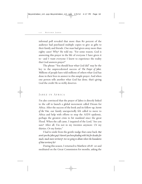informal poll revealed that more than 80 percent of the audience had purchased multiple copies to give as gifts to their family and friends. One man had given away more than eighty cases! Why? He told me, "For some reason, God is answering this prayer in the life of everyone I have given it to—and I want everyone I know to experience the reality that God answers prayer!"

The phrase "You should hear what God did" may be the key to the unprecedented success of *The Prayer of Jabez*. Millions of people have told millions of others what God has done in their lives in answer to this simple prayer. And when one person tells another what God has done, that's giving God the credit He so richly deserves.

#### Jabez in Africa

I'm also convinced that the prayer of Jabez is directly linked to the call to launch a global movement called Dream for Africa. After the success of the book and its follow-up, *Secrets of the Vine*, our family unexpectedly felt called to move to Africa and help with efforts to stop the AIDS epidemic, perhaps the greatest crisis to hit mankind since the great Flood. When the call came, I inquired of the Lord, "Are you sure? After all, I'm not in my twenties anymore. Or my thirties. Or my forties."

I had to smile from the gentle nudge that came back: *But aren't you the Jabez guy? Haven't you been pleading with Me for decades for much, much more territory? Are we going to debate where the boundaries of that territory lie?*

During this season, I returned to Matthew 28:18–20 and meditated on the Great Commission for months, asking the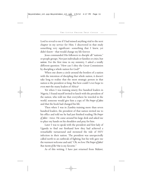Lord to reveal to me if I had missed anything vital to the next chapter in my service for Him. I discovered in that study something very significant—something that I knew, yet didn't know—that would change my life forever.

Jesus commanded His followers to disciple all "nations," or people groups. Not just individuals or families or cities, but *nations*. For the first time in my ministry, I asked a totally different question: "How can I obey the Great Commission by discipling a whole nation for God?"

When one draws a circle around the borders of a nation with the intention of discipling that whole nation, it doesn't take long to realize that the most strategic person in that nation is the president or king. But how could I ever hope to even *meet* the many leaders of Africa?

Yet when I was training ninety-five hundred leaders in Nigeria, I found myself invited to lunch with the president of the nation, who told me that everywhere he traveled in the world, someone would give him a copy of *The Prayer of Jabez* and that the book had changed his life.

Then when I was in Zambia training more than seven hundred leaders, the president of that nation invited me to his office and told me he had just finished reading *The Prayer of Jabez*—twice. He came around his large desk and asked me to place my hands on his shoulders and pray for him.

Later I was to speak with the president and first lady of Uganda to find out firsthand how they had achieved a remarkable turnaround and stemmed the tide of HIV infection in their nation. The president was unexpectedly called north to an outbreak of fighting, but his wife gave me the warmest welcome and said, "Oh, we love *The Prayer of Jabez*! But *Secrets of the Vine* is my favorite."

As of this writing, I have just returned from Malawi,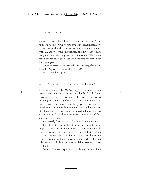where we were launching another Dream for Africa ministry. Just before we were to fly back to Johannesburg, we received word that the first lady of Malawi wanted to meet with us. As we were introduced, the first lady's adult daughter enthusiastically said to her mother, "This is the man I've been telling you about, the one who wrote the book I just gave you!"

One leader said to me recently, "*The Prayer of Jabez* is your John the Baptist for your work in Africa!"

Who could have guessed?

#### Why Another Book About Jabez?

If you were inspired by *The Prayer of Jabez*, or even if you've never heard of it, my hope is that this book will deeply encourage you and enable you to live at a new level of meaning, service, and significance. As I have been praying this little prayer for more than thirty years, my heart is overflowing with not only my own experiences but also how God has answered this prayer for untold millions of people around the world, and so I have shared a number of their stories in these pages.

But *Beyond Jabez* was written for three primary reasons.

First, I wrote it to further develop the concepts in this prayer so that they can produce even more fruit in your life. The original book was only a brief overview of the prayer, and so many people have asked for additional teaching on the topic. In response, I developed an eight-part small-group video series (available at www.brucewilkinson.com) and now this book.

Second, I wrote *Beyond Jabez* to clear up some of the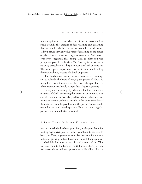misconceptions that have arisen out of the success of the first book. Frankly, the amount of false teaching and preaching that surrounded the book came as a complete shock to me. Why? Because in twenty-five years of preaching on the prayer of Jabez, I never heard one negative comment. And no one ever even suggested that asking God to bless you was prosperity gospel. Only after *The Prayer of Jabez* became a runaway bestseller did I begin to hear this kind of criticism. The secular press, in particular, had a difficult time handling the overwhelming success of a book on prayer.

The third reason I wrote this new book was to encourage you to rekindle the habit of praying the prayer of Jabez. So many have been touched and their lives changed, but the Jabez experience is hardly over; in fact, it's just beginning!

Rarely does a week go by when we don't see numerous instances of God's answering this prayer in our family's lives and at Dream for Africa. My good friend and publisher, Don Jacobson, encouraged me to include in this book a number of these stories from the past few months, just so readers would see and understand that the prayer of Jabez can be an ongoing part of a vital and effective prayer life.

#### A Life That Is More Honorable

Just as you ask God to bless your food, my hope is that after reading *Beyond Jabez*, you will make it your habit to ask God to bless you. Then, as you come to realize that your life is meant to be ever growing in its influence and impact, I hope you will ask God daily for more territory in which to serve Him. This will lead you into the Land of the Unknown, where you may feel overwhelmed and perhaps even incapable of handling the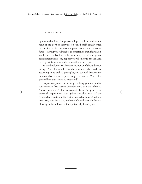opportunities; if so, I hope you will pray as Jabez did for the hand of the Lord to intervene on your behalf. Finally, when the reality of life on another plane causes your heart to falter—leaving you vulnerable to temptation that, if acted on, would hurt the Lord and others and stop the miracles you've been experiencing—my hope is you will know to ask the Lord to keep evil from you so that you will not cause pain.

In this book, you will discover the power of this unbroken linkage. And if you will pray the prayer of Jabez and live according to its biblical principles, you too will discover the indescribable joy of experiencing the words, "And God granted him that which he requested."

As you lose yourself in serving the King, you may find to your surprise that heaven describes you, as it did Jabez, as "more honorable." I'm convinced, from Scripture and personal experience, that Jabez revealed one of the remarkable secrets of a life that is honorable before God and man. May your heart sing and your life explode with the joys of living in the fullness that lies potentially before you.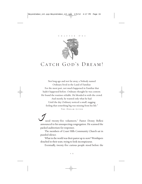

# CATCH GOD'S DREAM!

Not long ago and not far away, a Nobody named Ordinary lived in the Land of Familiar. For the most part, not much happened in Familiar that hadn't happened before. Ordinary thought he was content. He found the routines reliable. He blended in with the crowd. And mostly, he wanted only what he had. Until the day Ordinary noticed a small, nagging feeling that something big was missing from his life.<sup>1</sup> The Dream Giver

need twenty-five volunteers," Pastor Denny Bellesi meed twenty-five volunteers," Pastor Denny Bellesi<br>announced to his unsuspecting congregation. He scanned the packed auditorium for responses.

The members of Coast Hills Community Church sat in puzzled silence.

What in the world was their pastor up to now? Worshipers slouched in their seats, trying to look inconspicuous.

Eventually, twenty-five curious people stood before the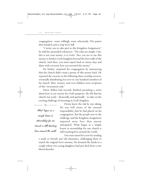congregation—some willingly, some reluctantly. The pastor then handed each a crisp \$100 bill.

"I invite you to take part in this Kingdom Assignment," he told the astounded volunteers. "The rules are simple. One, this is not your money; it is God's. Two, you are to use this money to further God's kingdom beyond the four walls of the church. And three, you must report back in ninety days and share with everyone how you invested the money."

He further surprised his congregation by announcing that the church didn't want a penny of this money back. He repeated the exercise in the following three worship services, eventually distributing \$10,000 to one hundred members of his church. Men, women, and even children were recipients of this "investment cash."

Pastor Bellesi had recently finished preaching a series about how to use money for God's purposes. He felt that his church was ready—financially and spiritually—to take on the exciting challenge of investing in God's kingdom.

What began as a simple lesson in stewardship for one church is still touching lives around the world.

 $\infty$ 

Denny knew the risk he was taking. He was well aware of the unusual responsibility that he had placed on his congregation. But the people rose to the challenge, and the Kingdom Assignment impacted more lives than anyone anticipated. What began as a simple lesson in stewardship for one church is still touching lives around the world.

One man raised \$10,000 by sending e-mails to friends and old classmates, challenging them to match the original \$100 amount. He donated the funds to a couple whose two young daughters had just died from a rare blood disorder.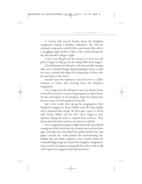A woman told several friends about the Kingdom Assignment during a birthday celebration. She and her enthused companions raised \$1,800 and donated the cash to a struggling single mother of three, who worked during the day and attended college at night.

A nine-year-old girl sent her money to a four-year-old girl in Oregon to help pay for the ailing child's heart surgery.

A local chiropractor elected to take his portable massage table and a hundred Burger King hamburgers down to skid row once a month and adjust the aching backs of those who live and sleep on the streets.

Another man was inspired to invest \$50,000 in a Bible seminary in China after hearing about the Kingdom Assignment.

One young man who had grown up in an abusive home invested his money in a mentoring program for abused kids. He also participates in the program, which has helped him discover a part of God's purpose for his life.

Just a few weeks after giving his congregation their Kingdom Assignment, Pastor Bellesi read *The Prayer of Jabez* and it impacted him deeply. He then gave copies to all his staff. Denny Bellesi and his wife, Leesa, began to pray together, asking the Lord to "expand their territory." They had no idea that their territory was about to explode.

First, a regional newspaper caught wind of the good deeds coming out of the church and ran a feature story on their front page. Soon after, the Associated Press picked up the story, and papers around the world printed the heartwarming tale. *Woman's Day* and *People* magazines wrote articles about the wonderful happenings as a result of the Kingdom Assignment. Denny and Leesa began receiving calls from all over the world with requests for magazine and radio interviews.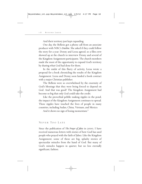And their territory just kept expanding.

One day, the Bellesis got a phone call from an associate producer with NBC's *Dateline*. She asked if they could follow the story for a year. Denny and Leesa agreed, so a film crew showed up at the church to interview Denny and several of the Kingdom Assignment participants. The church members made the most of the opportunity to expand God's territory by sharing what God had done for them.

In the midst of this flurry of activity, Leesa wrote a proposal for a book chronicling the results of the Kingdom Assignment. Leesa and Denny soon landed a book contract with a major Christian publisher.

The Bellesis were so overwhelmed by the enormity of God's blessings that they were being forced to depend on God. And that was good! The Kingdom Assignment had become so big that only God could take the credit.

Like the proverbial pebble making ripples in the pond, the impact of the Kingdom Assignment continues to spread. These ripples have touched the lives of people in many countries, including Sudan, China, Vietnam, and Mexico.

And it shows no sign of losing momentum.<sup>2</sup>

#### NEVER TOO LATE

Since the publication of *The Prayer of Jabez* in 2000, I have received numerous letters with stories of how God has used people who prayed with the faith of Jabez. Like the Kingdom Assignment, some of these are big, splashy stories of spectacular miracles from the hand of God. But many of God's miracles happen in quieter, but no less eternally significant, fashion.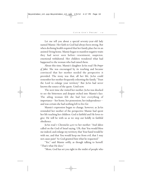Let me tell you about a special seventy-year-old lady named Mamie. Her faith in God had always been strong. But when declining health required that her family place her in an assisted-living home, Mamie began to manifest negative traits they had never seen before—resentment, suspicion, emotional withdrawal. Her children wondered what had happened to the woman who had raised them.

About this time, Mamie's daughter JoAn read *The Prayer of Jabez*. She was encouraged by its teaching and became convinced that her mother needed the perspective it provided. The irony was that, all her life, JoAn could remember her mother frequently exhorting the family, "Trust the Lord to enlarge your territory." But JoAn had never known the source of the quote. Until now.

The next time she visited her mother, JoAn was shocked to see the bitterness and despair etched into Mamie's face. The ailing woman felt she had lost everything of importance—her home, her possessions, her independence and was certain she had nothing left to live for.

Mamie's expression began to change, however, as JoAn reminded her mother of the perspective Mamie had spent her life teaching her children: God is faithful and He loves to give; He will be with us as we step out boldly in faithful obedience.

JoAn read 1 Chronicles 4:10 to her mother: "And Jabez called on the God of Israel saying, 'Oh, that You would bless me indeed, and enlarge my territory, that Your hand would be with me, and that You would keep me from evil, that I may not cause pain!' So God granted him what he requested."

"Yes," said Mamie softly, as though talking to herself. "That's what He does."

"Mom, God has set you right in the midst of people who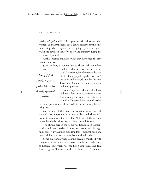need you," JoAn said. "Here you are with thirteen other women, all under the same roof. You've spent your whole life influencing others for good. I'm not going to just stand by and watch the devil rob you of your joy and ministry during the last years of your life!"

At that, Mamie smiled for what may have been the first time in months.

JoAn challenged her mother to share with her fellow

Many of God's miracles happen in quieter, but no less eternally significant, fashion.

 $\infty$ 

residents what she had learned about God's love throughout her seven decades of life. They prayed together for God's direction and strength, and by the time JoAn left, Mamie was a new woman with new purpose.

A few days later, Mamie called JoAn and asked her to bring cookies and tea for a meeting she had organized. She had invited a Christian friend named Esther

to come speak to her fellow residents in the nursing home's living area.

On the day of the event, anticipation shone on each woman's face as a parade of thirteen walkers and wheelchairs made its way down the corridor. Not one of them could remember the last time they had been invited for tea!

The atmosphere in the home was transformed. Esther's sharing and then a series of subsequent events—including a mini-concert by Mamie's grandchildren—brought hope and new faith into the lives of several of the elderly ladies.

Some time later, when Mamie became gravely ill with congestive heart failure, she was certain she was on her way to heaven. But when her condition improved, she told JoAn, "I guess God isn't finished with me yet. There must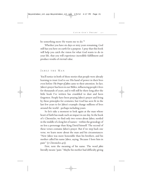be something more He wants me to do."3

Whether you have six days or sixty years remaining, God still has you here on earth for a purpose. I pray that this book will help you catch the vision for what God wants to do in your life, that you will experience incredible fulfillment and produce results of eternal value.

#### Jabez the Man

You'll notice in both of these stories that people were already learning to trust God to see His hand of power in their lives even before *The Prayer of Jabez* came to their attention. In fact, Jabez's prayer has been in our Bibles, influencing people's lives for thousands of years, and it will still be there long after the little book I've written has crumbled to dust and been forgotten. People have been praying Jabez's prayer and living by these principles for centuries, but God has seen fit in the last few years to let Jabez's example change millions of lives around the world—perhaps including yours.

So let's take a moment to look again at the man whose heart of faith has made such an impact in our day. In the book of 1 Chronicles, we find only two verses about Jabez, nestled in the middle of a long list of names—within the genealogy of no less a personage than King David himself. The second of these verses contains Jabez's prayer. But if we step back one verse, we learn more about the man and his circumstances: "Now Jabez was more honorable than his brothers, and his mother called his name Jabez, saying, 'Because I bore him in pain'" (1 Chronicles 4:9).

First, note the meaning of his name. The word *jabez* literally means "pain." Maybe his mother had difficulty giving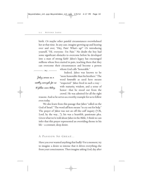birth. Or maybe other painful circumstances overwhelmed her at that time. In any case, imagine growing up and hearing over and over, "Hey, Pain! What's up?" Or introducing yourself, "Hi, everyone. I'm Pain." No doubt the boy had some significant obstacles to overcome before he developed into a man of strong faith! Jabez's legacy has encouraged millions whose lives started in pain, teaching them that they can overcome their circumstances and become a person whom God calls "honorable."  $\infty$ 

Jabez serves as a worthy example for us to follow even today.

Indeed, Jabez was known to be "more honorable than his brothers." The word *honorable* as used here means "respected." Jabez lived in such a way with maturity, wisdom, and a sense of honor—that he stood out from the crowd. He was admired for all the right

reasons. And so he serves as a worthy example for us to follow even today.

We also learn from this passage that Jabez "called on the God of Israel." The word *call* here means "to cry out for help." The prayer of Jabez was not an off-the-cuff inquiry ("Oh, Lord, by the way..."); his was a heartfelt, passionate plea. Given what we're told about Jabez in the Bible, I think we can infer that this prayer represented an overriding theme in his life—a constant, deep desire.

#### A Pas sion So Great...

Have you ever wanted anything that badly? For a moment, try to imagine a desire so intense that it drives everything else from your consciousness. Then imagine asking God, day after